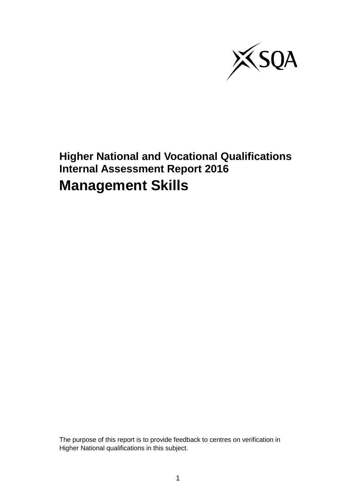

## **Higher National and Vocational Qualifications Internal Assessment Report 2016 Management Skills**

The purpose of this report is to provide feedback to centres on verification in Higher National qualifications in this subject.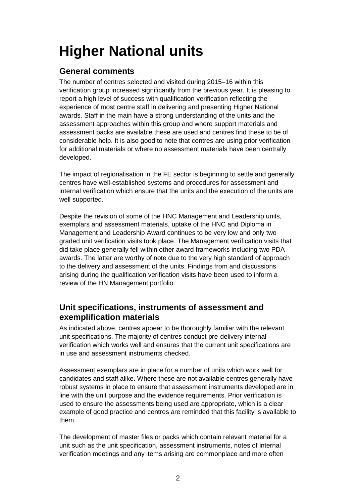# **Higher National units**

## **General comments**

The number of centres selected and visited during 2015–16 within this verification group increased significantly from the previous year. It is pleasing to report a high level of success with qualification verification reflecting the experience of most centre staff in delivering and presenting Higher National awards. Staff in the main have a strong understanding of the units and the assessment approaches within this group and where support materials and assessment packs are available these are used and centres find these to be of considerable help. It is also good to note that centres are using prior verification for additional materials or where no assessment materials have been centrally developed.

The impact of regionalisation in the FE sector is beginning to settle and generally centres have well-established systems and procedures for assessment and internal verification which ensure that the units and the execution of the units are well supported.

Despite the revision of some of the HNC Management and Leadership units, exemplars and assessment materials, uptake of the HNC and Diploma in Management and Leadership Award continues to be very low and only two graded unit verification visits took place. The Management verification visits that did take place generally fell within other award frameworks including two PDA awards. The latter are worthy of note due to the very high standard of approach to the delivery and assessment of the units. Findings from and discussions arising during the qualification verification visits have been used to inform a review of the HN Management portfolio.

## **Unit specifications, instruments of assessment and exemplification materials**

As indicated above, centres appear to be thoroughly familiar with the relevant unit specifications. The majority of centres conduct pre-delivery internal verification which works well and ensures that the current unit specifications are in use and assessment instruments checked.

Assessment exemplars are in place for a number of units which work well for candidates and staff alike. Where these are not available centres generally have robust systems in place to ensure that assessment instruments developed are in line with the unit purpose and the evidence requirements. Prior verification is used to ensure the assessments being used are appropriate, which is a clear example of good practice and centres are reminded that this facility is available to them.

The development of master files or packs which contain relevant material for a unit such as the unit specification, assessment instruments, notes of internal verification meetings and any items arising are commonplace and more often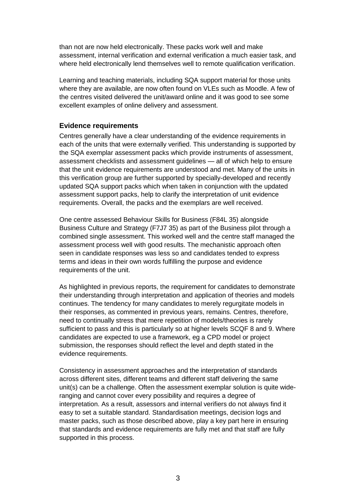than not are now held electronically. These packs work well and make assessment, internal verification and external verification a much easier task, and where held electronically lend themselves well to remote qualification verification.

Learning and teaching materials, including SQA support material for those units where they are available, are now often found on VLEs such as Moodle. A few of the centres visited delivered the unit/award online and it was good to see some excellent examples of online delivery and assessment.

### **Evidence requirements**

Centres generally have a clear understanding of the evidence requirements in each of the units that were externally verified. This understanding is supported by the SQA exemplar assessment packs which provide instruments of assessment, assessment checklists and assessment guidelines — all of which help to ensure that the unit evidence requirements are understood and met. Many of the units in this verification group are further supported by specially-developed and recently updated SQA support packs which when taken in conjunction with the updated assessment support packs, help to clarify the interpretation of unit evidence requirements. Overall, the packs and the exemplars are well received.

One centre assessed Behaviour Skills for Business (F84L 35) alongside Business Culture and Strategy (F7J7 35) as part of the Business pilot through a combined single assessment. This worked well and the centre staff managed the assessment process well with good results. The mechanistic approach often seen in candidate responses was less so and candidates tended to express terms and ideas in their own words fulfilling the purpose and evidence requirements of the unit.

As highlighted in previous reports, the requirement for candidates to demonstrate their understanding through interpretation and application of theories and models continues. The tendency for many candidates to merely regurgitate models in their responses, as commented in previous years, remains. Centres, therefore, need to continually stress that mere repetition of models/theories is rarely sufficient to pass and this is particularly so at higher levels SCQF 8 and 9. Where candidates are expected to use a framework, eg a CPD model or project submission, the responses should reflect the level and depth stated in the evidence requirements.

Consistency in assessment approaches and the interpretation of standards across different sites, different teams and different staff delivering the same unit(s) can be a challenge. Often the assessment exemplar solution is quite wideranging and cannot cover every possibility and requires a degree of interpretation. As a result, assessors and internal verifiers do not always find it easy to set a suitable standard. Standardisation meetings, decision logs and master packs, such as those described above, play a key part here in ensuring that standards and evidence requirements are fully met and that staff are fully supported in this process.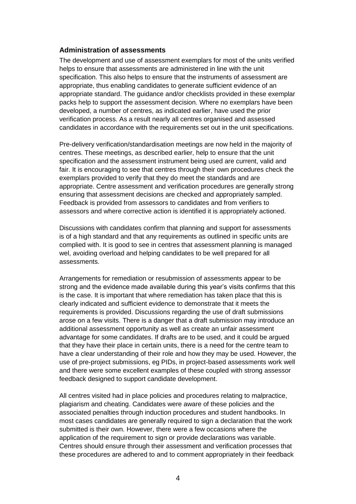#### **Administration of assessments**

The development and use of assessment exemplars for most of the units verified helps to ensure that assessments are administered in line with the unit specification. This also helps to ensure that the instruments of assessment are appropriate, thus enabling candidates to generate sufficient evidence of an appropriate standard. The guidance and/or checklists provided in these exemplar packs help to support the assessment decision. Where no exemplars have been developed, a number of centres, as indicated earlier, have used the prior verification process. As a result nearly all centres organised and assessed candidates in accordance with the requirements set out in the unit specifications.

Pre-delivery verification/standardisation meetings are now held in the majority of centres. These meetings, as described earlier, help to ensure that the unit specification and the assessment instrument being used are current, valid and fair. It is encouraging to see that centres through their own procedures check the exemplars provided to verify that they do meet the standards and are appropriate. Centre assessment and verification procedures are generally strong ensuring that assessment decisions are checked and appropriately sampled. Feedback is provided from assessors to candidates and from verifiers to assessors and where corrective action is identified it is appropriately actioned.

Discussions with candidates confirm that planning and support for assessments is of a high standard and that any requirements as outlined in specific units are complied with. It is good to see in centres that assessment planning is managed wel, avoiding overload and helping candidates to be well prepared for all assessments.

Arrangements for remediation or resubmission of assessments appear to be strong and the evidence made available during this year's visits confirms that this is the case. It is important that where remediation has taken place that this is clearly indicated and sufficient evidence to demonstrate that it meets the requirements is provided. Discussions regarding the use of draft submissions arose on a few visits. There is a danger that a draft submission may introduce an additional assessment opportunity as well as create an unfair assessment advantage for some candidates. If drafts are to be used, and it could be argued that they have their place in certain units, there is a need for the centre team to have a clear understanding of their role and how they may be used. However, the use of pre-project submissions, eg PIDs, in project-based assessments work well and there were some excellent examples of these coupled with strong assessor feedback designed to support candidate development.

All centres visited had in place policies and procedures relating to malpractice, plagiarism and cheating. Candidates were aware of these policies and the associated penalties through induction procedures and student handbooks. In most cases candidates are generally required to sign a declaration that the work submitted is their own. However, there were a few occasions where the application of the requirement to sign or provide declarations was variable. Centres should ensure through their assessment and verification processes that these procedures are adhered to and to comment appropriately in their feedback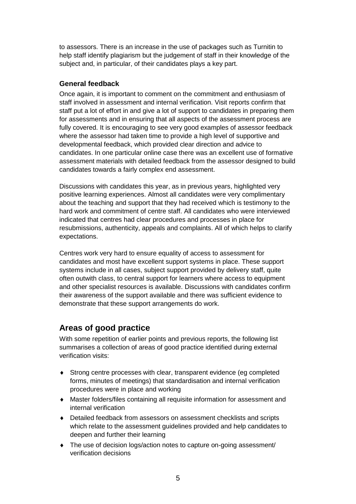to assessors. There is an increase in the use of packages such as Turnitin to help staff identify plagiarism but the judgement of staff in their knowledge of the subject and, in particular, of their candidates plays a key part.

### **General feedback**

Once again, it is important to comment on the commitment and enthusiasm of staff involved in assessment and internal verification. Visit reports confirm that staff put a lot of effort in and give a lot of support to candidates in preparing them for assessments and in ensuring that all aspects of the assessment process are fully covered. It is encouraging to see very good examples of assessor feedback where the assessor had taken time to provide a high level of supportive and developmental feedback, which provided clear direction and advice to candidates. In one particular online case there was an excellent use of formative assessment materials with detailed feedback from the assessor designed to build candidates towards a fairly complex end assessment.

Discussions with candidates this year, as in previous years, highlighted very positive learning experiences. Almost all candidates were very complimentary about the teaching and support that they had received which is testimony to the hard work and commitment of centre staff. All candidates who were interviewed indicated that centres had clear procedures and processes in place for resubmissions, authenticity, appeals and complaints. All of which helps to clarify expectations.

Centres work very hard to ensure equality of access to assessment for candidates and most have excellent support systems in place. These support systems include in all cases, subject support provided by delivery staff, quite often outwith class, to central support for learners where access to equipment and other specialist resources is available. Discussions with candidates confirm their awareness of the support available and there was sufficient evidence to demonstrate that these support arrangements do work.

## **Areas of good practice**

With some repetition of earlier points and previous reports, the following list summarises a collection of areas of good practice identified during external verification visits:

- Strong centre processes with clear, transparent evidence (eg completed forms, minutes of meetings) that standardisation and internal verification procedures were in place and working
- Master folders/files containing all requisite information for assessment and internal verification
- Detailed feedback from assessors on assessment checklists and scripts which relate to the assessment guidelines provided and help candidates to deepen and further their learning
- The use of decision logs/action notes to capture on-going assessment/ verification decisions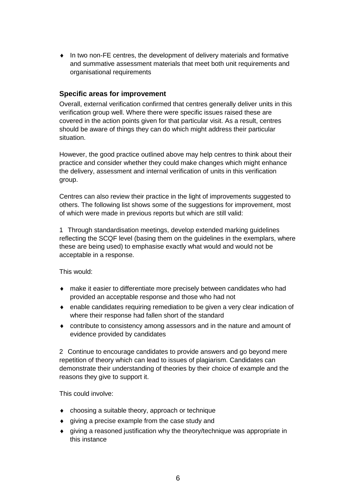In two non-FE centres, the development of delivery materials and formative and summative assessment materials that meet both unit requirements and organisational requirements

### **Specific areas for improvement**

Overall, external verification confirmed that centres generally deliver units in this verification group well. Where there were specific issues raised these are covered in the action points given for that particular visit. As a result, centres should be aware of things they can do which might address their particular situation.

However, the good practice outlined above may help centres to think about their practice and consider whether they could make changes which might enhance the delivery, assessment and internal verification of units in this verification group.

Centres can also review their practice in the light of improvements suggested to others. The following list shows some of the suggestions for improvement, most of which were made in previous reports but which are still valid:

1 Through standardisation meetings, develop extended marking guidelines reflecting the SCQF level (basing them on the guidelines in the exemplars, where these are being used) to emphasise exactly what would and would not be acceptable in a response.

This would:

- make it easier to differentiate more precisely between candidates who had provided an acceptable response and those who had not
- enable candidates requiring remediation to be given a very clear indication of where their response had fallen short of the standard
- contribute to consistency among assessors and in the nature and amount of evidence provided by candidates

2 Continue to encourage candidates to provide answers and go beyond mere repetition of theory which can lead to issues of plagiarism. Candidates can demonstrate their understanding of theories by their choice of example and the reasons they give to support it.

This could involve:

- choosing a suitable theory, approach or technique
- giving a precise example from the case study and
- giving a reasoned justification why the theory/technique was appropriate in this instance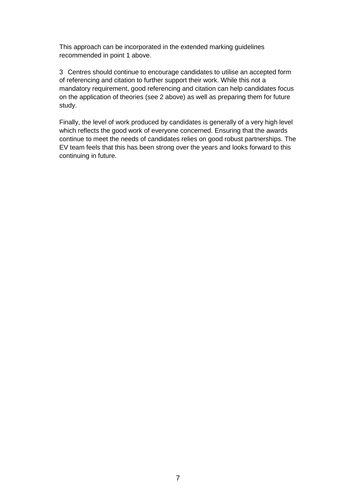This approach can be incorporated in the extended marking guidelines recommended in point 1 above.

3 Centres should continue to encourage candidates to utilise an accepted form of referencing and citation to further support their work. While this not a mandatory requirement, good referencing and citation can help candidates focus on the application of theories (see 2 above) as well as preparing them for future study.

Finally, the level of work produced by candidates is generally of a very high level which reflects the good work of everyone concerned. Ensuring that the awards continue to meet the needs of candidates relies on good robust partnerships. The EV team feels that this has been strong over the years and looks forward to this continuing in future.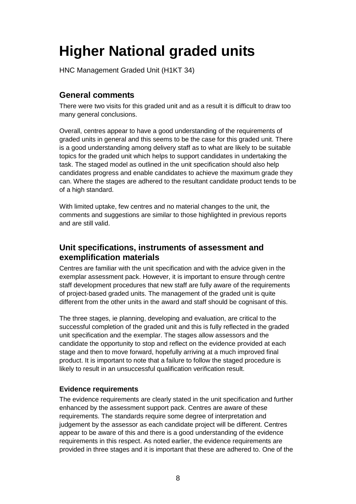## **Higher National graded units**

HNC Management Graded Unit (H1KT 34)

## **General comments**

There were two visits for this graded unit and as a result it is difficult to draw too many general conclusions.

Overall, centres appear to have a good understanding of the requirements of graded units in general and this seems to be the case for this graded unit. There is a good understanding among delivery staff as to what are likely to be suitable topics for the graded unit which helps to support candidates in undertaking the task. The staged model as outlined in the unit specification should also help candidates progress and enable candidates to achieve the maximum grade they can. Where the stages are adhered to the resultant candidate product tends to be of a high standard.

With limited uptake, few centres and no material changes to the unit, the comments and suggestions are similar to those highlighted in previous reports and are still valid.

## **Unit specifications, instruments of assessment and exemplification materials**

Centres are familiar with the unit specification and with the advice given in the exemplar assessment pack. However, it is important to ensure through centre staff development procedures that new staff are fully aware of the requirements of project-based graded units. The management of the graded unit is quite different from the other units in the award and staff should be cognisant of this.

The three stages, ie planning, developing and evaluation, are critical to the successful completion of the graded unit and this is fully reflected in the graded unit specification and the exemplar. The stages allow assessors and the candidate the opportunity to stop and reflect on the evidence provided at each stage and then to move forward, hopefully arriving at a much improved final product. It is important to note that a failure to follow the staged procedure is likely to result in an unsuccessful qualification verification result.

### **Evidence requirements**

The evidence requirements are clearly stated in the unit specification and further enhanced by the assessment support pack. Centres are aware of these requirements. The standards require some degree of interpretation and judgement by the assessor as each candidate project will be different. Centres appear to be aware of this and there is a good understanding of the evidence requirements in this respect. As noted earlier, the evidence requirements are provided in three stages and it is important that these are adhered to. One of the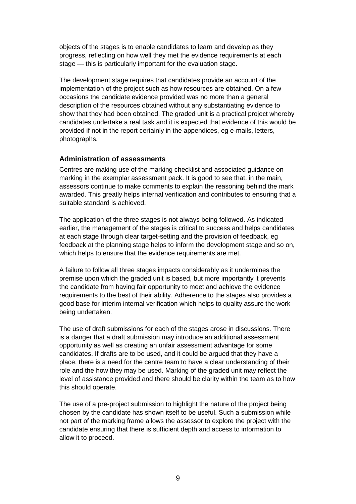objects of the stages is to enable candidates to learn and develop as they progress, reflecting on how well they met the evidence requirements at each stage — this is particularly important for the evaluation stage.

The development stage requires that candidates provide an account of the implementation of the project such as how resources are obtained. On a few occasions the candidate evidence provided was no more than a general description of the resources obtained without any substantiating evidence to show that they had been obtained. The graded unit is a practical project whereby candidates undertake a real task and it is expected that evidence of this would be provided if not in the report certainly in the appendices, eg e-mails, letters, photographs.

#### **Administration of assessments**

Centres are making use of the marking checklist and associated guidance on marking in the exemplar assessment pack. It is good to see that, in the main, assessors continue to make comments to explain the reasoning behind the mark awarded. This greatly helps internal verification and contributes to ensuring that a suitable standard is achieved.

The application of the three stages is not always being followed. As indicated earlier, the management of the stages is critical to success and helps candidates at each stage through clear target-setting and the provision of feedback, eg feedback at the planning stage helps to inform the development stage and so on, which helps to ensure that the evidence requirements are met.

A failure to follow all three stages impacts considerably as it undermines the premise upon which the graded unit is based, but more importantly it prevents the candidate from having fair opportunity to meet and achieve the evidence requirements to the best of their ability. Adherence to the stages also provides a good base for interim internal verification which helps to quality assure the work being undertaken.

The use of draft submissions for each of the stages arose in discussions. There is a danger that a draft submission may introduce an additional assessment opportunity as well as creating an unfair assessment advantage for some candidates. If drafts are to be used, and it could be argued that they have a place, there is a need for the centre team to have a clear understanding of their role and the how they may be used. Marking of the graded unit may reflect the level of assistance provided and there should be clarity within the team as to how this should operate.

The use of a pre-project submission to highlight the nature of the project being chosen by the candidate has shown itself to be useful. Such a submission while not part of the marking frame allows the assessor to explore the project with the candidate ensuring that there is sufficient depth and access to information to allow it to proceed.